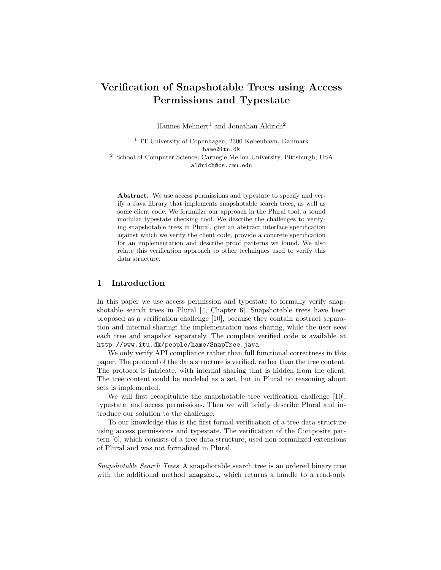# Verification of Snapshotable Trees using Access Permissions and Typestate

Hannes Mehnert<sup>1</sup> and Jonathan Aldrich<sup>2</sup>

<sup>1</sup> IT University of Copenhagen, 2300 København, Danmark hame@itu.dk <sup>2</sup> School of Computer Science, Carnegie Mellon University, Pittsburgh, USA aldrich@cs.cmu.edu

Abstract. We use access permissions and typestate to specify and verify a Java library that implements snapshotable search trees, as well as some client code. We formalize our approach in the Plural tool, a sound modular typestate checking tool. We describe the challenges to verifying snapshotable trees in Plural, give an abstract interface specification against which we verify the client code, provide a concrete specification for an implementation and describe proof patterns we found. We also relate this verification approach to other techniques used to verify this data structure.

## 1 Introduction

In this paper we use access permission and typestate to formally verify snapshotable search trees in Plural [4, Chapter 6]. Snapshotable trees have been proposed as a verification challenge [10], because they contain abstract separation and internal sharing: the implementation uses sharing, while the user sees each tree and snapshot separately. The complete verified code is available at http://www.itu.dk/people/hame/SnapTree.java.

We only verify API compliance rather than full functional correctness in this paper. The protocol of the data structure is verified, rather than the tree content. The protocol is intricate, with internal sharing that is hidden from the client. The tree content could be modeled as a set, but in Plural no reasoning about sets is implemented.

We will first recapitulate the snapshotable tree verification challenge [10], typestate, and access permissions. Then we will briefly describe Plural and introduce our solution to the challenge.

To our knowledge this is the first formal verification of a tree data structure using access permissions and typestate. The verification of the Composite pattern [6], which consists of a tree data structure, used non-formalized extensions of Plural and was not formalized in Plural.

Snapshotable Search Trees A snapshotable search tree is an ordered binary tree with the additional method snapshot, which returns a handle to a read-only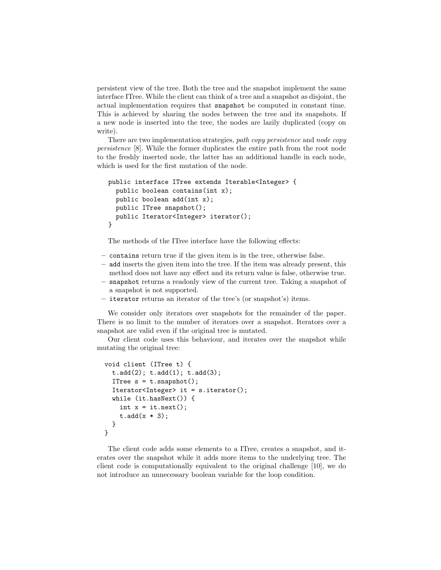persistent view of the tree. Both the tree and the snapshot implement the same interface ITree. While the client can think of a tree and a snapshot as disjoint, the actual implementation requires that snapshot be computed in constant time. This is achieved by sharing the nodes between the tree and its snapshots. If a new node is inserted into the tree, the nodes are lazily duplicated (copy on write).

There are two implementation strategies, path copy persistence and node copy persistence [8]. While the former duplicates the entire path from the root node to the freshly inserted node, the latter has an additional handle in each node, which is used for the first mutation of the node.

```
public interface ITree extends Iterable<Integer> {
  public boolean contains(int x);
  public boolean add(int x);
 public ITree snapshot();
  public Iterator<Integer> iterator();
}
```
The methods of the ITree interface have the following effects:

- contains return true if the given item is in the tree, otherwise false.
- add inserts the given item into the tree. If the item was already present, this method does not have any effect and its return value is false, otherwise true.
- snapshot returns a readonly view of the current tree. Taking a snapshot of a snapshot is not supported.
- iterator returns an iterator of the tree's (or snapshot's) items.

We consider only iterators over snapshots for the remainder of the paper. There is no limit to the number of iterators over a snapshot. Iterators over a snapshot are valid even if the original tree is mutated.

Our client code uses this behaviour, and iterates over the snapshot while mutating the original tree:

```
void client (ITree t) {
  t.add(2); t.add(1); t.add(3);
  ITree s = t. snapshot();
  Iterator<Integer> it = s.iterator();
  while (it.hasNext()) {
    int x = it.next();
    t.add(x * 3);}
}
```
The client code adds some elements to a ITree, creates a snapshot, and iterates over the snapshot while it adds more items to the underlying tree. The client code is computationally equivalent to the original challenge [10], we do not introduce an unnecessary boolean variable for the loop condition.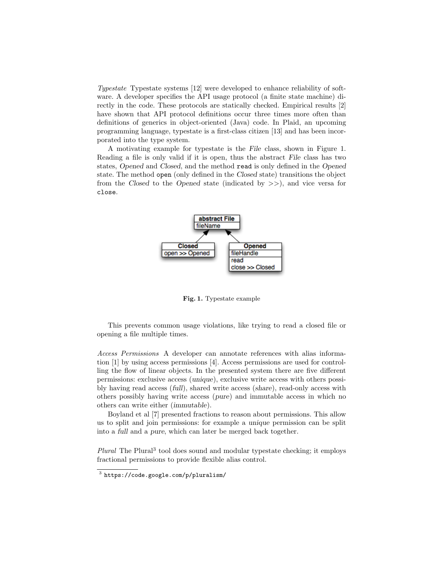Typestate Typestate systems [12] were developed to enhance reliability of software. A developer specifies the API usage protocol (a finite state machine) directly in the code. These protocols are statically checked. Empirical results [2] have shown that API protocol definitions occur three times more often than definitions of generics in object-oriented (Java) code. In Plaid, an upcoming programming language, typestate is a first-class citizen [13] and has been incorporated into the type system.

A motivating example for typestate is the File class, shown in Figure 1. Reading a file is only valid if it is open, thus the abstract File class has two states, Opened and Closed, and the method read is only defined in the Opened state. The method open (only defined in the Closed state) transitions the object from the Closed to the Opened state (indicated by >>), and vice versa for close.



Fig. 1. Typestate example

This prevents common usage violations, like trying to read a closed file or opening a file multiple times.

Access Permissions A developer can annotate references with alias information [1] by using access permissions [4]. Access permissions are used for controlling the flow of linear objects. In the presented system there are five different permissions: exclusive access (unique), exclusive write access with others possibly having read access (full), shared write access (share), read-only access with others possibly having write access (pure) and immutable access in which no others can write either (immutable).

Boyland et al [7] presented fractions to reason about permissions. This allow us to split and join permissions: for example a unique permission can be split into a full and a pure, which can later be merged back together.

Plural The Plural<sup>3</sup> tool does sound and modular typestate checking; it employs fractional permissions to provide flexible alias control.

 $^3$  https://code.google.com/p/pluralism/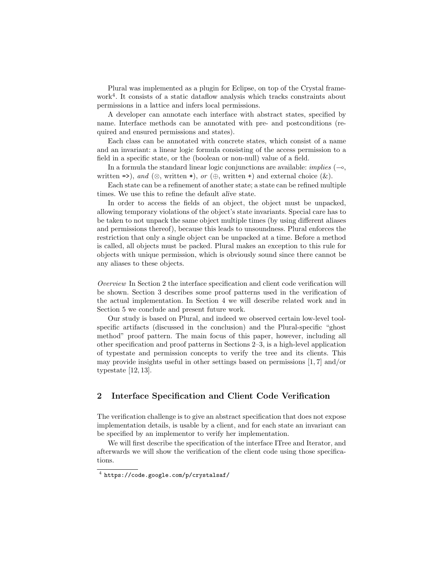Plural was implemented as a plugin for Eclipse, on top of the Crystal framework<sup>4</sup> . It consists of a static dataflow analysis which tracks constraints about permissions in a lattice and infers local permissions.

A developer can annotate each interface with abstract states, specified by name. Interface methods can be annotated with pre- and postconditions (required and ensured permissions and states).

Each class can be annotated with concrete states, which consist of a name and an invariant: a linear logic formula consisting of the access permission to a field in a specific state, or the (boolean or non-null) value of a field.

In a formula the standard linear logic conjunctions are available: *implies*  $(-\circ,$ written =>), and  $(\otimes,$  written  $\ast)$ , or  $(\oplus,$  written  $\ast)$  and external choice  $(\&).$ 

Each state can be a refinement of another state; a state can be refined multiple times. We use this to refine the default alive state.

In order to access the fields of an object, the object must be unpacked, allowing temporary violations of the object's state invariants. Special care has to be taken to not unpack the same object multiple times (by using different aliases and permissions thereof), because this leads to unsoundness. Plural enforces the restriction that only a single object can be unpacked at a time. Before a method is called, all objects must be packed. Plural makes an exception to this rule for objects with unique permission, which is obviously sound since there cannot be any aliases to these objects.

Overview In Section 2 the interface specification and client code verification will be shown. Section 3 describes some proof patterns used in the verification of the actual implementation. In Section 4 we will describe related work and in Section 5 we conclude and present future work.

Our study is based on Plural, and indeed we observed certain low-level toolspecific artifacts (discussed in the conclusion) and the Plural-specific "ghost method" proof pattern. The main focus of this paper, however, including all other specification and proof patterns in Sections 2–3, is a high-level application of typestate and permission concepts to verify the tree and its clients. This may provide insights useful in other settings based on permissions [1, 7] and/or typestate [12, 13].

# 2 Interface Specification and Client Code Verification

The verification challenge is to give an abstract specification that does not expose implementation details, is usable by a client, and for each state an invariant can be specified by an implementor to verify her implementation.

We will first describe the specification of the interface ITree and Iterator, and afterwards we will show the verification of the client code using those specifications.

 $^4$  https://code.google.com/p/crystalsaf/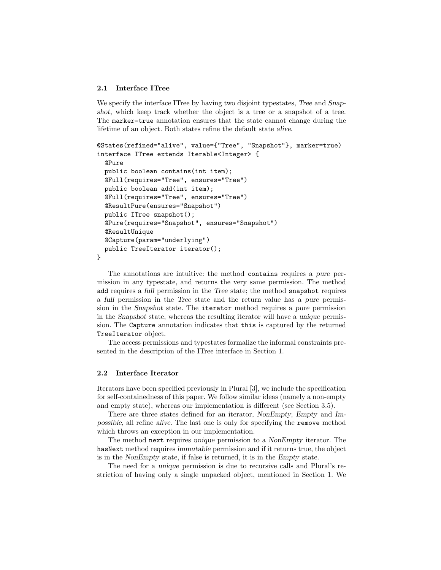#### 2.1 Interface ITree

We specify the interface ITree by having two disjoint typestates, Tree and Snapshot, which keep track whether the object is a tree or a snapshot of a tree. The marker=true annotation ensures that the state cannot change during the lifetime of an object. Both states refine the default state alive.

```
@States(refined="alive", value={"Tree", "Snapshot"}, marker=true)
interface ITree extends Iterable<Integer> {
  @Pure
 public boolean contains(int item);
  @Full(requires="Tree", ensures="Tree")
  public boolean add(int item);
  @Full(requires="Tree", ensures="Tree")
  @ResultPure(ensures="Snapshot")
  public ITree snapshot();
  @Pure(requires="Snapshot", ensures="Snapshot")
  @ResultUnique
  @Capture(param="underlying")
 public TreeIterator iterator();
}
```
The annotations are intuitive: the method contains requires a pure permission in any typestate, and returns the very same permission. The method add requires a full permission in the Tree state; the method snapshot requires a full permission in the Tree state and the return value has a pure permission in the Snapshot state. The iterator method requires a pure permission in the Snapshot state, whereas the resulting iterator will have a unique permission. The Capture annotation indicates that this is captured by the returned TreeIterator object.

The access permissions and typestates formalize the informal constraints presented in the description of the ITree interface in Section 1.

#### 2.2 Interface Iterator

Iterators have been specified previously in Plural [3], we include the specification for self-containedness of this paper. We follow similar ideas (namely a non-empty and empty state), whereas our implementation is different (see Section 3.5).

There are three states defined for an iterator, NonEmpty, Empty and Impossible, all refine alive. The last one is only for specifying the remove method which throws an exception in our implementation.

The method next requires unique permission to a NonEmpty iterator. The hasNext method requires immutable permission and if it returns true, the object is in the NonEmpty state, if false is returned, it is in the Empty state.

The need for a unique permission is due to recursive calls and Plural's restriction of having only a single unpacked object, mentioned in Section 1. We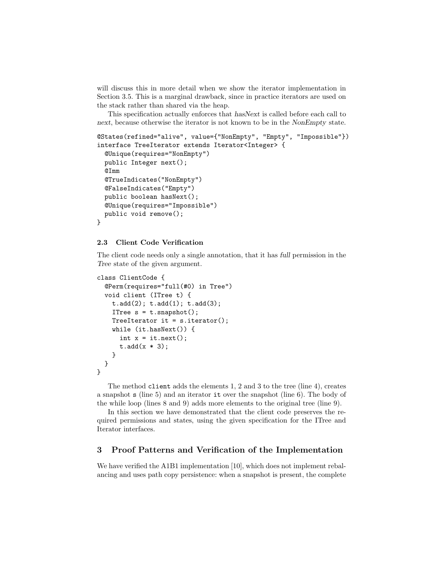will discuss this in more detail when we show the iterator implementation in Section 3.5. This is a marginal drawback, since in practice iterators are used on the stack rather than shared via the heap.

This specification actually enforces that hasNext is called before each call to next, because otherwise the iterator is not known to be in the NonEmpty state.

```
@States(refined="alive", value={"NonEmpty", "Empty", "Impossible"})
interface TreeIterator extends Iterator<Integer> {
  @Unique(requires="NonEmpty")
 public Integer next();
  @Imm
  @TrueIndicates("NonEmpty")
  @FalseIndicates("Empty")
  public boolean hasNext();
  @Unique(requires="Impossible")
 public void remove();
}
```
## 2.3 Client Code Verification

The client code needs only a single annotation, that it has full permission in the Tree state of the given argument.

```
class ClientCode {
  @Perm(requires="full(#0) in Tree")
 void client (ITree t) {
    t.add(2); t.add(1); t.add(3);
    ITree s = t.snapshot();
    TreeIterator it = s.iterator();
    while (it.hasNext()) {
      int x = it.next();
      t.add(x * 3);}
 }
}
```
The method client adds the elements 1, 2 and 3 to the tree (line 4), creates a snapshot s (line 5) and an iterator it over the snapshot (line 6). The body of the while loop (lines 8 and 9) adds more elements to the original tree (line 9).

In this section we have demonstrated that the client code preserves the required permissions and states, using the given specification for the ITree and Iterator interfaces.

## 3 Proof Patterns and Verification of the Implementation

We have verified the A1B1 implementation [10], which does not implement rebalancing and uses path copy persistence: when a snapshot is present, the complete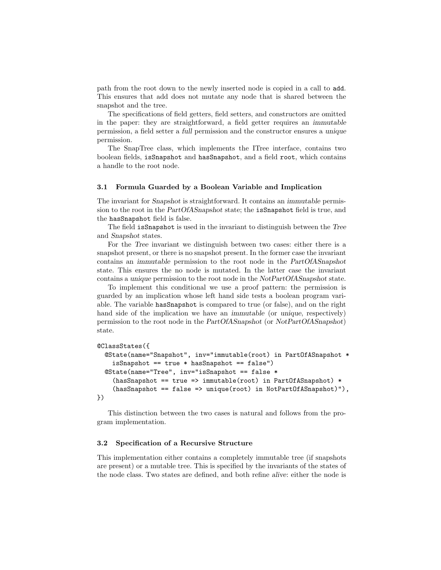path from the root down to the newly inserted node is copied in a call to add. This ensures that add does not mutate any node that is shared between the snapshot and the tree.

The specifications of field getters, field setters, and constructors are omitted in the paper: they are straightforward, a field getter requires an immutable permission, a field setter a full permission and the constructor ensures a unique permission.

The SnapTree class, which implements the ITree interface, contains two boolean fields, isSnapshot and hasSnapshot, and a field root, which contains a handle to the root node.

#### 3.1 Formula Guarded by a Boolean Variable and Implication

The invariant for Snapshot is straightforward. It contains an immutable permission to the root in the PartOfASnapshot state; the isSnapshot field is true, and the hasSnapshot field is false.

The field isSnapshot is used in the invariant to distinguish between the Tree and Snapshot states.

For the Tree invariant we distinguish between two cases: either there is a snapshot present, or there is no snapshot present. In the former case the invariant contains an immutable permission to the root node in the PartOfASnapshot state. This ensures the no node is mutated. In the latter case the invariant contains a unique permission to the root node in the NotPartOfASnapshot state.

To implement this conditional we use a proof pattern: the permission is guarded by an implication whose left hand side tests a boolean program variable. The variable hasSnapshot is compared to true (or false), and on the right hand side of the implication we have an *immutable* (or *unique*, respectively) permission to the root node in the PartOfASnapshot (or NotPartOfASnapshot) state.

```
@ClassStates({
  @State(name="Snapshot", inv="immutable(root) in PartOfASnapshot *
    isSnapshot == true * hasSnapshot == false")
  @State(name="Tree", inv="isSnapshot == false *
    (hasSnapshot == true => immutable(root) in PartOfASnapshot) *
    (hasSnapshot == false => unique(root) in NotPartOfASnapshot)"),
})
```
This distinction between the two cases is natural and follows from the program implementation.

### 3.2 Specification of a Recursive Structure

This implementation either contains a completely immutable tree (if snapshots are present) or a mutable tree. This is specified by the invariants of the states of the node class. Two states are defined, and both refine alive: either the node is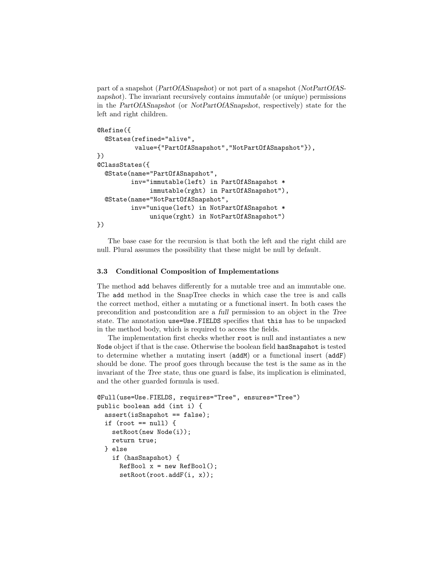part of a snapshot (PartOfASnapshot) or not part of a snapshot (NotPartOfASnapshot). The invariant recursively contains immutable (or unique) permissions in the PartOfASnapshot (or NotPartOfASnapshot, respectively) state for the left and right children.

```
@Refine({
  @States(refined="alive",
          value={"PartOfASnapshot","NotPartOfASnapshot"}),
})
@ClassStates({
  @State(name="PartOfASnapshot",
         inv="immutable(left) in PartOfASnapshot *
              immutable(rght) in PartOfASnapshot"),
  @State(name="NotPartOfASnapshot",
         inv="unique(left) in NotPartOfASnapshot *
              unique(rght) in NotPartOfASnapshot")
})
```
The base case for the recursion is that both the left and the right child are null. Plural assumes the possibility that these might be null by default.

## 3.3 Conditional Composition of Implementations

The method add behaves differently for a mutable tree and an immutable one. The add method in the SnapTree checks in which case the tree is and calls the correct method, either a mutating or a functional insert. In both cases the precondition and postcondition are a full permission to an object in the Tree state. The annotation use=Use.FIELDS specifies that this has to be unpacked in the method body, which is required to access the fields.

The implementation first checks whether root is null and instantiates a new Node object if that is the case. Otherwise the boolean field hasSnapshot is tested to determine whether a mutating insert (addM) or a functional insert (addF) should be done. The proof goes through because the test is the same as in the invariant of the Tree state, thus one guard is false, its implication is eliminated, and the other guarded formula is used.

```
@Full(use=Use.FIELDS, requires="Tree", ensures="Tree")
public boolean add (int i) {
  assert(isSnapshot == false);
  if (root == null) {
    setRoot(new Node(i));
    return true;
  } else
    if (hasSnapshot) {
      RefBool x = new RefBool();setRoot(root.addF(i, x));
```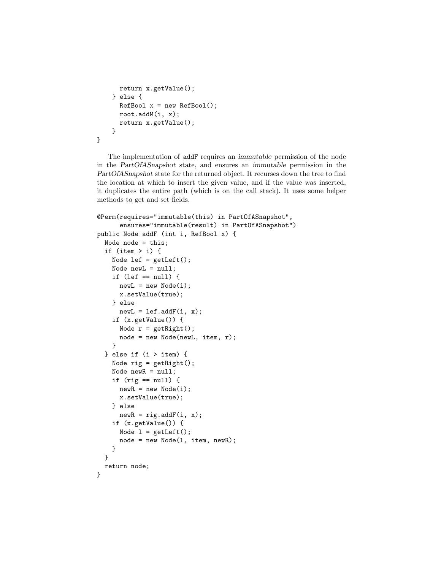```
return x.getValue();
    } else {
     RefBool x = new RefBool();
     root.addM(i, x);
      return x.getValue();
    }
}
```
The implementation of addF requires an immutable permission of the node in the PartOfASnapshot state, and ensures an immutable permission in the PartOfASnapshot state for the returned object. It recurses down the tree to find the location at which to insert the given value, and if the value was inserted, it duplicates the entire path (which is on the call stack). It uses some helper methods to get and set fields.

```
@Perm(requires="immutable(this) in PartOfASnapshot",
      ensures="immutable(result) in PartOfASnapshot")
public Node addF (int i, RefBool x) {
 Node node = this;
 if (item > i) {
    Node lef = getLeft();
   Node newL = null;
    if (lef == null) {
     newL = new Node(i);x.setValue(true);
    } else
     newL = \text{left.addF}(i, x);if (x.getValue()) {
     Node r = getRight();
     node = new Node(newL, item, r);
    }
  } else if (i > item) {
    Node rig = getRight();
    Node newR = null;
    if (rig == null) {
     newR = new Node(i);x.setValue(true);
    } else
     newR = rig.addF(i, x);if (x.getValue()) {
     Node l = getLeft();
      node = new Node(1, item, newR);}
 }
 return node;
}
```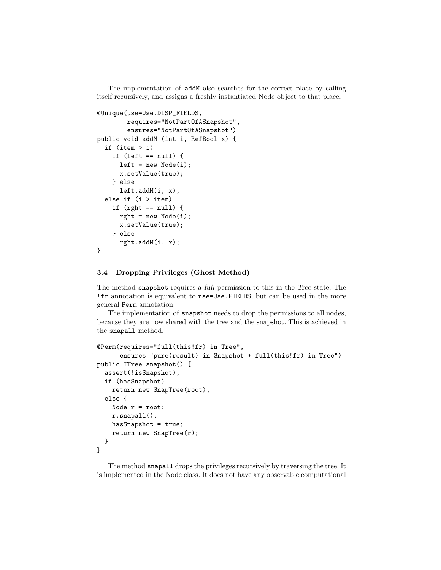The implementation of addM also searches for the correct place by calling itself recursively, and assigns a freshly instantiated Node object to that place.

```
@Unique(use=Use.DISP_FIELDS,
        requires="NotPartOfASnapshot",
        ensures="NotPartOfASnapshot")
public void addM (int i, RefBool x) {
  if (item > i)
    if (left == null) {
     left = new Node(i);x.setValue(true);
    } else
      left.addM(i, x);
  else if (i > item)
    if (rght == null) {
      rght = new Node(i);
     x.setValue(true);
    } else
      rght.addM(i, x);
}
```
# 3.4 Dropping Privileges (Ghost Method)

The method snapshot requires a full permission to this in the Tree state. The !fr annotation is equivalent to use=Use.FIELDS, but can be used in the more general Perm annotation.

The implementation of snapshot needs to drop the permissions to all nodes, because they are now shared with the tree and the snapshot. This is achieved in the snapall method.

```
@Perm(requires="full(this!fr) in Tree",
      ensures="pure(result) in Snapshot * full(this!fr) in Tree")
public ITree snapshot() {
 assert(!isSnapshot);
  if (hasSnapshot)
    return new SnapTree(root);
  else {
    Node r = root;
    r.snapall();
   hasSnapshot = true;
    return new SnapTree(r);
 }
}
```
The method snapall drops the privileges recursively by traversing the tree. It is implemented in the Node class. It does not have any observable computational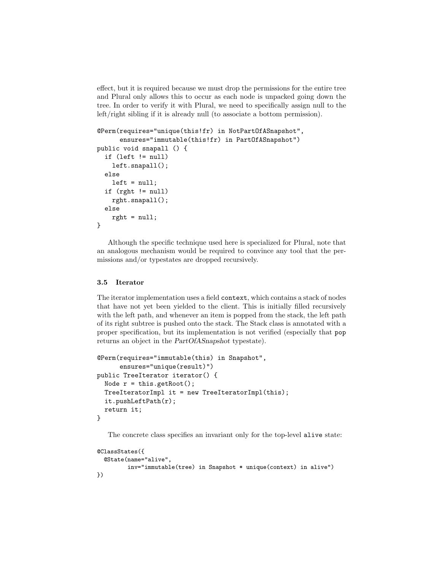effect, but it is required because we must drop the permissions for the entire tree and Plural only allows this to occur as each node is unpacked going down the tree. In order to verify it with Plural, we need to specifically assign null to the left/right sibling if it is already null (to associate a bottom permission).

```
@Perm(requires="unique(this!fr) in NotPartOfASnapshot",
      ensures="immutable(this!fr) in PartOfASnapshot")
public void snapall () {
  if (left != null)
   left.snapall();
  else
   left = null;if (rght != null)rght.snapall();
  else
   rght = null;}
```
Although the specific technique used here is specialized for Plural, note that an analogous mechanism would be required to convince any tool that the permissions and/or typestates are dropped recursively.

### 3.5 Iterator

The iterator implementation uses a field context, which contains a stack of nodes that have not yet been yielded to the client. This is initially filled recursively with the left path, and whenever an item is popped from the stack, the left path of its right subtree is pushed onto the stack. The Stack class is annotated with a proper specification, but its implementation is not verified (especially that pop returns an object in the PartOfASnapshot typestate).

```
@Perm(requires="immutable(this) in Snapshot",
      ensures="unique(result)")
public TreeIterator iterator() {
 Node r = this.getRoot();
 TreeIteratorImpl it = new TreeIteratorImpl(this);
 it.pushLeftPath(r);
 return it;
}
```
The concrete class specifies an invariant only for the top-level alive state:

```
@ClassStates({
 @State(name="alive",
         inv="immutable(tree) in Snapshot * unique(context) in alive")
})
```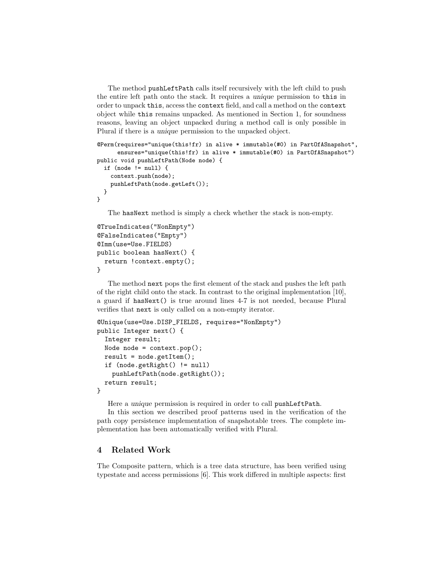The method pushLeftPath calls itself recursively with the left child to push the entire left path onto the stack. It requires a unique permission to this in order to unpack this, access the context field, and call a method on the context object while this remains unpacked. As mentioned in Section 1, for soundness reasons, leaving an object unpacked during a method call is only possible in Plural if there is a unique permission to the unpacked object.

```
@Perm(requires="unique(this!fr) in alive * immutable(#0) in PartOfASnapshot",
      ensures="unique(this!fr) in alive * immutable(#0) in PartOfASnapshot")
public void pushLeftPath(Node node) {
 if (node != null) {
    context.push(node);
    pushLeftPath(node.getLeft());
 }
}
```
The hasNext method is simply a check whether the stack is non-empty.

```
@TrueIndicates("NonEmpty")
@FalseIndicates("Empty")
@Imm(use=Use.FIELDS)
public boolean hasNext() {
  return !context.empty();
}
```
The method next pops the first element of the stack and pushes the left path of the right child onto the stack. In contrast to the original implementation [10], a guard if hasNext() is true around lines 4-7 is not needed, because Plural verifies that next is only called on a non-empty iterator.

```
@Unique(use=Use.DISP_FIELDS, requires="NonEmpty")
public Integer next() {
 Integer result;
 Node node = context.pop();
 result = node.getItem();
  if (node.getRight() != null)
   pushLeftPath(node.getRight());
 return result;
}
```
Here a unique permission is required in order to call pushLeftPath.

In this section we described proof patterns used in the verification of the path copy persistence implementation of snapshotable trees. The complete implementation has been automatically verified with Plural.

# 4 Related Work

The Composite pattern, which is a tree data structure, has been verified using typestate and access permissions [6]. This work differed in multiple aspects: first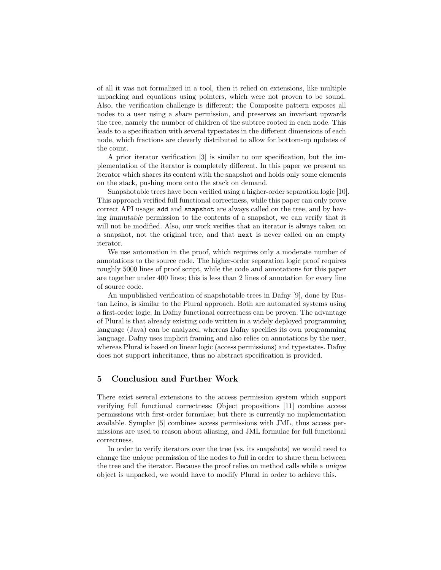of all it was not formalized in a tool, then it relied on extensions, like multiple unpacking and equations using pointers, which were not proven to be sound. Also, the verification challenge is different: the Composite pattern exposes all nodes to a user using a share permission, and preserves an invariant upwards the tree, namely the number of children of the subtree rooted in each node. This leads to a specification with several typestates in the different dimensions of each node, which fractions are cleverly distributed to allow for bottom-up updates of the count.

A prior iterator verification [3] is similar to our specification, but the implementation of the iterator is completely different. In this paper we present an iterator which shares its content with the snapshot and holds only some elements on the stack, pushing more onto the stack on demand.

Snapshotable trees have been verified using a higher-order separation logic [10]. This approach verified full functional correctness, while this paper can only prove correct API usage: add and snapshot are always called on the tree, and by having immutable permission to the contents of a snapshot, we can verify that it will not be modified. Also, our work verifies that an iterator is always taken on a snapshot, not the original tree, and that next is never called on an empty iterator.

We use automation in the proof, which requires only a moderate number of annotations to the source code. The higher-order separation logic proof requires roughly 5000 lines of proof script, while the code and annotations for this paper are together under 400 lines; this is less than 2 lines of annotation for every line of source code.

An unpublished verification of snapshotable trees in Dafny [9], done by Rustan Leino, is similar to the Plural approach. Both are automated systems using a first-order logic. In Dafny functional correctness can be proven. The advantage of Plural is that already existing code written in a widely deployed programming language (Java) can be analyzed, whereas Dafny specifies its own programming language. Dafny uses implicit framing and also relies on annotations by the user, whereas Plural is based on linear logic (access permissions) and typestates. Dafny does not support inheritance, thus no abstract specification is provided.

# 5 Conclusion and Further Work

There exist several extensions to the access permission system which support verifying full functional correctness: Object propositions [11] combine access permissions with first-order formulae; but there is currently no implementation available. Symplar [5] combines access permissions with JML, thus access permissions are used to reason about aliasing, and JML formulae for full functional correctness.

In order to verify iterators over the tree (vs. its snapshots) we would need to change the unique permission of the nodes to full in order to share them between the tree and the iterator. Because the proof relies on method calls while a unique object is unpacked, we would have to modify Plural in order to achieve this.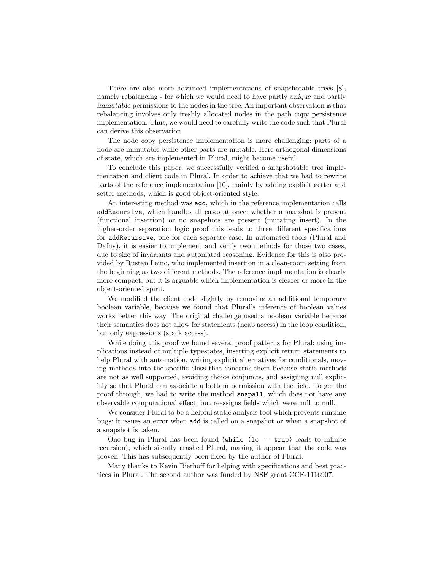There are also more advanced implementations of snapshotable trees [8], namely rebalancing - for which we would need to have partly unique and partly immutable permissions to the nodes in the tree. An important observation is that rebalancing involves only freshly allocated nodes in the path copy persistence implementation. Thus, we would need to carefully write the code such that Plural can derive this observation.

The node copy persistence implementation is more challenging: parts of a node are immutable while other parts are mutable. Here orthogonal dimensions of state, which are implemented in Plural, might become useful.

To conclude this paper, we successfully verified a snapshotable tree implementation and client code in Plural. In order to achieve that we had to rewrite parts of the reference implementation [10], mainly by adding explicit getter and setter methods, which is good object-oriented style.

An interesting method was add, which in the reference implementation calls addRecursive, which handles all cases at once: whether a snapshot is present (functional insertion) or no snapshots are present (mutating insert). In the higher-order separation logic proof this leads to three different specifications for addRecursive, one for each separate case. In automated tools (Plural and Dafny), it is easier to implement and verify two methods for those two cases, due to size of invariants and automated reasoning. Evidence for this is also provided by Rustan Leino, who implemented insertion in a clean-room setting from the beginning as two different methods. The reference implementation is clearly more compact, but it is arguable which implementation is clearer or more in the object-oriented spirit.

We modified the client code slightly by removing an additional temporary boolean variable, because we found that Plural's inference of boolean values works better this way. The original challenge used a boolean variable because their semantics does not allow for statements (heap access) in the loop condition, but only expressions (stack access).

While doing this proof we found several proof patterns for Plural: using implications instead of multiple typestates, inserting explicit return statements to help Plural with automation, writing explicit alternatives for conditionals, moving methods into the specific class that concerns them because static methods are not as well supported, avoiding choice conjuncts, and assigning null explicitly so that Plural can associate a bottom permission with the field. To get the proof through, we had to write the method snapall, which does not have any observable computational effect, but reassigns fields which were null to null.

We consider Plural to be a helpful static analysis tool which prevents runtime bugs: it issues an error when add is called on a snapshot or when a snapshot of a snapshot is taken.

One bug in Plural has been found (while  $(1c == true)$  leads to infinite recursion), which silently crashed Plural, making it appear that the code was proven. This has subsequently been fixed by the author of Plural.

Many thanks to Kevin Bierhoff for helping with specifications and best practices in Plural. The second author was funded by NSF grant CCF-1116907.